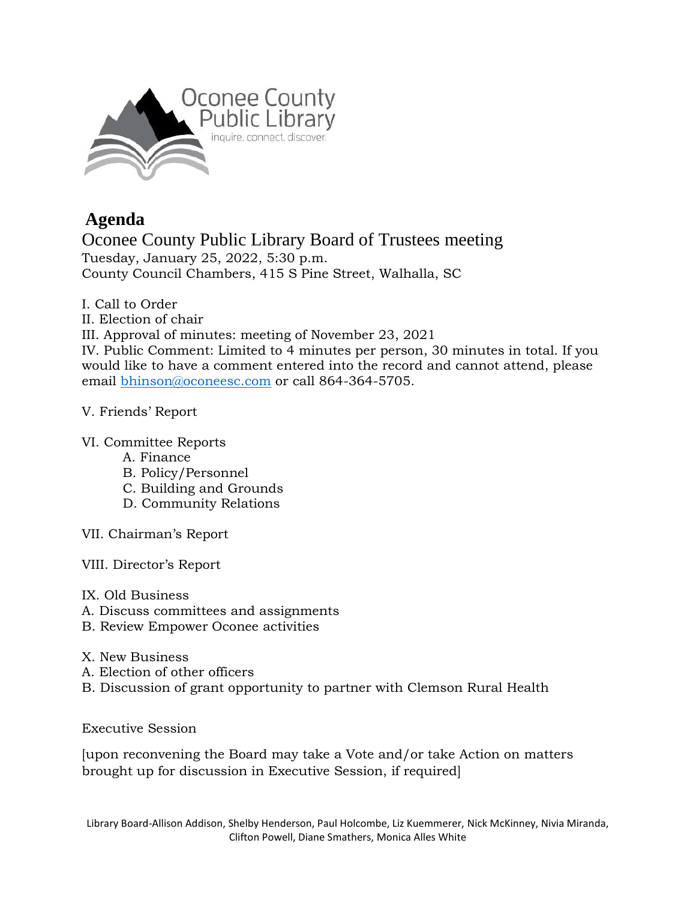

## **Agenda**

Oconee County Public Library Board of Trustees meeting Tuesday, January 25, 2022, 5:30 p.m. County Council Chambers, 415 S Pine Street, Walhalla, SC

- I. Call to Order
- II. Election of chair

III. Approval of minutes: meeting of November 23, 2021

IV. Public Comment: Limited to 4 minutes per person, 30 minutes in total. If you would like to have a comment entered into the record and cannot attend, please email [bhinson@oconeesc.com](mailto:bhinson@oconeesc.com) or call 864-364-5705.

## V. Friends' Report

## VI. Committee Reports

- A. Finance
- B. Policy/Personnel
- C. Building and Grounds
- D. Community Relations
- VII. Chairman's Report
- VIII. Director's Report
- IX. Old Business
- A. Discuss committees and assignments
- B. Review Empower Oconee activities
- X. New Business
- A. Election of other officers
- B. Discussion of grant opportunity to partner with Clemson Rural Health

Executive Session

[upon reconvening the Board may take a Vote and/or take Action on matters brought up for discussion in Executive Session, if required]